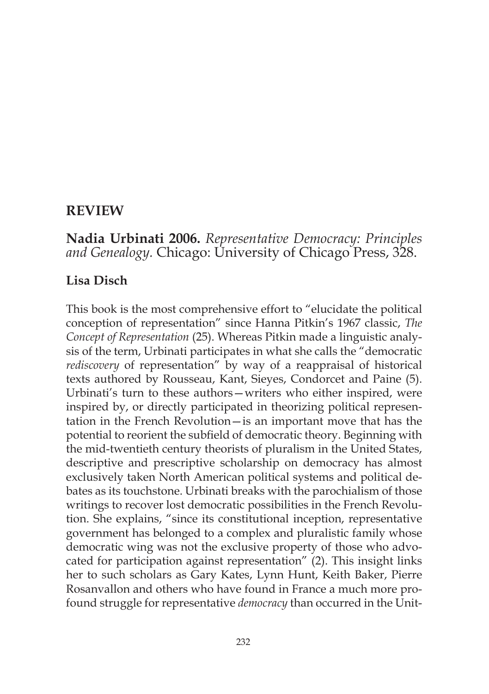# **REVIEW**

# **Nadia Urbinati 2006.** *Representative Democracy: Principles and Genealogy.* Chicago: University of Chicago Press, 328.

## **Lisa Disch**

This book is the most comprehensive effort to "elucidate the political conception of representation" since Hanna Pitkin's 1967 classic, *The Concept of Representation* (25). Whereas Pitkin made a linguistic analysis of the term, Urbinati participates in what she calls the "democratic *rediscovery* of representation" by way of a reappraisal of historical texts authored by Rousseau, Kant, Sieyes, Condorcet and Paine (5). Urbinati's turn to these authors—writers who either inspired, were inspired by, or directly participated in theorizing political representation in the French Revolution—is an important move that has the potential to reorient the subfield of democratic theory. Beginning with the mid-twentieth century theorists of pluralism in the United States, descriptive and prescriptive scholarship on democracy has almost exclusively taken North American political systems and political debates as its touchstone. Urbinati breaks with the parochialism of those writings to recover lost democratic possibilities in the French Revolution. She explains, "since its constitutional inception, representative government has belonged to a complex and pluralistic family whose democratic wing was not the exclusive property of those who advocated for participation against representation" (2). This insight links her to such scholars as Gary Kates, Lynn Hunt, Keith Baker, Pierre Rosanvallon and others who have found in France a much more profound struggle for representative *democracy* than occurred in the Unit-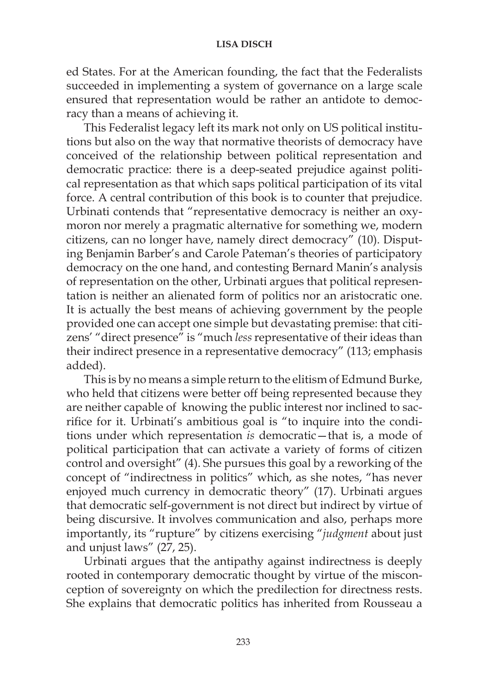## **LISA DISCH**

ed States. For at the American founding, the fact that the Federalists succeeded in implementing a system of governance on a large scale ensured that representation would be rather an antidote to democracy than a means of achieving it.

This Federalist legacy left its mark not only on US political institutions but also on the way that normative theorists of democracy have conceived of the relationship between political representation and democratic practice: there is a deep-seated prejudice against political representation as that which saps political participation of its vital force. A central contribution of this book is to counter that prejudice. Urbinati contends that "representative democracy is neither an oxymoron nor merely a pragmatic alternative for something we, modern citizens, can no longer have, namely direct democracy" (10). Disputing Benjamin Barber's and Carole Pateman's theories of participatory democracy on the one hand, and contesting Bernard Manin's analysis of representation on the other, Urbinati argues that political representation is neither an alienated form of politics nor an aristocratic one. It is actually the best means of achieving government by the people provided one can accept one simple but devastating premise: that citizens' "direct presence" is "much *less* representative of their ideas than their indirect presence in a representative democracy" (113; emphasis added).

This is by no means a simple return to the elitism of Edmund Burke, who held that citizens were better off being represented because they are neither capable of knowing the public interest nor inclined to sacrifice for it. Urbinati's ambitious goal is "to inquire into the conditions under which representation *is* democratic—that is, a mode of political participation that can activate a variety of forms of citizen control and oversight" (4). She pursues this goal by a reworking of the concept of "indirectness in politics" which, as she notes, "has never enjoyed much currency in democratic theory" (17). Urbinati argues that democratic self-government is not direct but indirect by virtue of being discursive. It involves communication and also, perhaps more importantly, its "rupture" by citizens exercising "*judgment* about just and unjust laws" (27, 25).

Urbinati argues that the antipathy against indirectness is deeply rooted in contemporary democratic thought by virtue of the misconception of sovereignty on which the predilection for directness rests. She explains that democratic politics has inherited from Rousseau a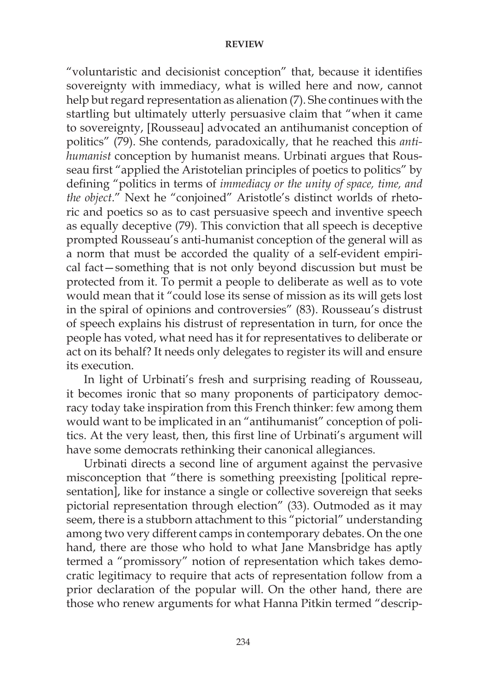#### **REVIEW**

"voluntaristic and decisionist conception" that, because it identifies sovereignty with immediacy, what is willed here and now, cannot help but regard representation as alienation (7). She continues with the startling but ultimately utterly persuasive claim that "when it came to sovereignty, [Rousseau] advocated an antihumanist conception of politics" (79). She contends, paradoxically, that he reached this *antihumanist* conception by humanist means. Urbinati argues that Rousseau first "applied the Aristotelian principles of poetics to politics" by defining "politics in terms of *immediacy or the unity of space, time, and the object*." Next he "conjoined" Aristotle's distinct worlds of rhetoric and poetics so as to cast persuasive speech and inventive speech as equally deceptive (79). This conviction that all speech is deceptive prompted Rousseau's anti-humanist conception of the general will as a norm that must be accorded the quality of a self-evident empirical fact—something that is not only beyond discussion but must be protected from it. To permit a people to deliberate as well as to vote would mean that it "could lose its sense of mission as its will gets lost in the spiral of opinions and controversies" (83). Rousseau's distrust of speech explains his distrust of representation in turn, for once the people has voted, what need has it for representatives to deliberate or act on its behalf? It needs only delegates to register its will and ensure its execution.

In light of Urbinati's fresh and surprising reading of Rousseau, it becomes ironic that so many proponents of participatory democracy today take inspiration from this French thinker: few among them would want to be implicated in an "antihumanist" conception of politics. At the very least, then, this first line of Urbinati's argument will have some democrats rethinking their canonical allegiances.

Urbinati directs a second line of argument against the pervasive misconception that "there is something preexisting [political representation], like for instance a single or collective sovereign that seeks pictorial representation through election" (33). Outmoded as it may seem, there is a stubborn attachment to this "pictorial" understanding among two very different camps in contemporary debates. On the one hand, there are those who hold to what Jane Mansbridge has aptly termed a "promissory" notion of representation which takes democratic legitimacy to require that acts of representation follow from a prior declaration of the popular will. On the other hand, there are those who renew arguments for what Hanna Pitkin termed "descrip-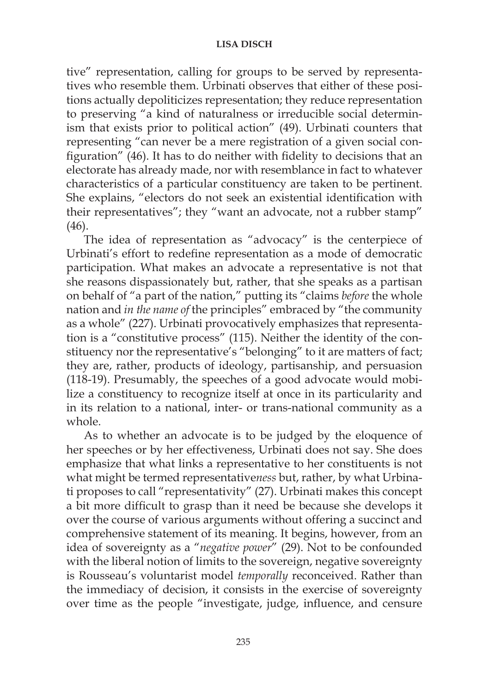## **LISA DISCH**

tive" representation, calling for groups to be served by representatives who resemble them. Urbinati observes that either of these positions actually depoliticizes representation; they reduce representation to preserving "a kind of naturalness or irreducible social determinism that exists prior to political action" (49). Urbinati counters that representing "can never be a mere registration of a given social configuration" (46). It has to do neither with fidelity to decisions that an electorate has already made, nor with resemblance in fact to whatever characteristics of a particular constituency are taken to be pertinent. She explains, "electors do not seek an existential identification with their representatives"; they "want an advocate, not a rubber stamp" (46).

The idea of representation as "advocacy" is the centerpiece of Urbinati's effort to redefine representation as a mode of democratic participation. What makes an advocate a representative is not that she reasons dispassionately but, rather, that she speaks as a partisan on behalf of "a part of the nation," putting its "claims *before* the whole nation and *in the name of* the principles" embraced by "the community as a whole" (227). Urbinati provocatively emphasizes that representation is a "constitutive process" (115). Neither the identity of the constituency nor the representative's "belonging" to it are matters of fact; they are, rather, products of ideology, partisanship, and persuasion (118-19). Presumably, the speeches of a good advocate would mobilize a constituency to recognize itself at once in its particularity and in its relation to a national, inter- or trans-national community as a whole.

As to whether an advocate is to be judged by the eloquence of her speeches or by her effectiveness, Urbinati does not say. She does emphasize that what links a representative to her constituents is not what might be termed representative*ness* but, rather, by what Urbinati proposes to call "representativity" (27). Urbinati makes this concept a bit more difficult to grasp than it need be because she develops it over the course of various arguments without offering a succinct and comprehensive statement of its meaning. It begins, however, from an idea of sovereignty as a "*negative power*" (29). Not to be confounded with the liberal notion of limits to the sovereign, negative sovereignty is Rousseau's voluntarist model *temporally* reconceived. Rather than the immediacy of decision, it consists in the exercise of sovereignty over time as the people "investigate, judge, influence, and censure